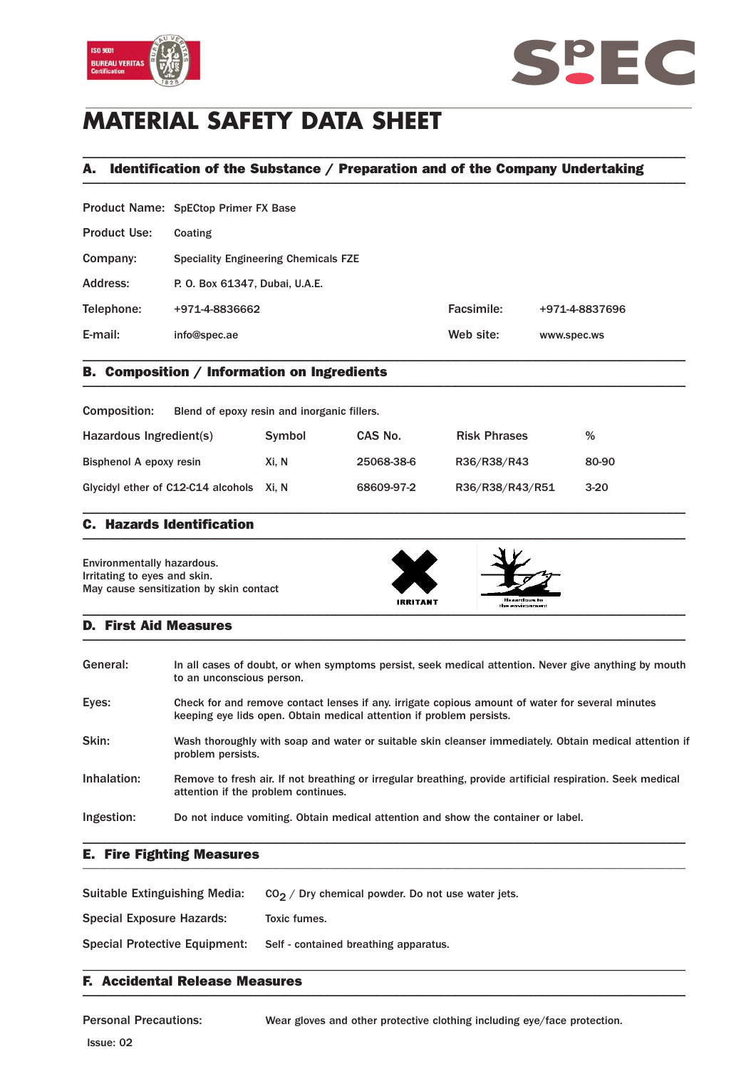



# **MATERIAL SAFETY DATA SHEET**

## A. Identification of the Substance / Preparation and of the Company Undertaking \_\_\_\_\_\_\_\_\_\_\_\_\_\_\_\_\_\_\_\_\_\_\_\_\_\_\_\_\_\_\_\_\_\_\_\_\_\_\_\_\_\_\_\_\_\_\_\_\_\_\_\_\_\_\_\_\_\_\_\_\_\_\_\_\_\_\_\_\_\_\_\_\_\_\_\_\_\_\_\_\_\_\_\_\_\_\_\_\_\_\_\_\_\_\_

\_\_\_\_\_\_\_\_\_\_\_\_\_\_\_\_\_\_\_\_\_\_\_\_\_\_\_\_\_\_\_\_\_\_\_\_\_\_\_\_\_\_\_\_\_\_\_\_\_\_\_\_\_\_\_\_\_\_\_\_\_\_\_\_\_\_\_\_\_\_\_\_\_\_\_\_\_\_\_\_\_\_\_\_\_\_\_\_\_\_\_\_\_\_\_

|                     | Product Name: SpECtop Primer FX Base        |            |                |
|---------------------|---------------------------------------------|------------|----------------|
| <b>Product Use:</b> | Coating                                     |            |                |
| Company:            | <b>Speciality Engineering Chemicals FZE</b> |            |                |
| Address:            | P. O. Box 61347, Dubai, U.A.E.              |            |                |
| Telephone:          | +971-4-8836662                              | Facsimile: | +971-4-8837696 |
| E-mail:             | info@spec.ae                                | Web site:  | www.spec.ws    |
|                     |                                             |            |                |

## B. Composition / Information on Ingredients \_\_\_\_\_\_\_\_\_\_\_\_\_\_\_\_\_\_\_\_\_\_\_\_\_\_\_\_\_\_\_\_\_\_\_\_\_\_\_\_\_\_\_\_\_\_\_\_\_\_\_\_\_\_\_\_\_\_\_\_\_\_\_\_\_\_\_\_\_\_\_\_\_\_\_\_\_\_\_\_\_\_\_\_\_\_\_\_\_\_\_\_\_\_\_

| Composition:                             | Blend of epoxy resin and inorganic fillers. |            |                     |        |
|------------------------------------------|---------------------------------------------|------------|---------------------|--------|
| Hazardous Ingredient(s)                  | Symbol                                      | CAS No.    | <b>Risk Phrases</b> | %      |
| Bisphenol A epoxy resin                  | Xi. N                                       | 25068-38-6 | R36/R38/R43         | 80-90  |
| Glycidyl ether of C12-C14 alcohols Xi, N |                                             | 68609-97-2 | R36/R38/R43/R51     | $3-20$ |

\_\_\_\_\_\_\_\_\_\_\_\_\_\_\_\_\_\_\_\_\_\_\_\_\_\_\_\_\_\_\_\_\_\_\_\_\_\_\_\_\_\_\_\_\_\_\_\_\_\_\_\_\_\_\_\_\_\_\_\_\_\_\_\_\_\_\_\_\_\_\_\_\_\_\_\_\_\_\_\_\_\_\_\_\_\_\_\_\_\_\_\_\_\_\_

### C. Hazards Identification  $\blacksquare$

Environmentally hazardous. Irritating to eyes and skin. May cause sensitization by skin contact





### D. First Aid Measures  $\blacksquare$

| General:    | In all cases of doubt, or when symptoms persist, seek medical attention. Never give anything by mouth<br>to an unconscious person.                                       |
|-------------|--------------------------------------------------------------------------------------------------------------------------------------------------------------------------|
| Eyes:       | Check for and remove contact lenses if any, irrigate copious amount of water for several minutes<br>keeping eye lids open. Obtain medical attention if problem persists. |
| Skin:       | Wash thoroughly with soap and water or suitable skin cleanser immediately. Obtain medical attention if<br>problem persists.                                              |
| Inhalation: | Remove to fresh air. If not breathing or irregular breathing, provide artificial respiration. Seek medical<br>attention if the problem continues.                        |
| Ingestion:  | Do not induce vomiting. Obtain medical attention and show the container or label.                                                                                        |

\_\_\_\_\_\_\_\_\_\_\_\_\_\_\_\_\_\_\_\_\_\_\_\_\_\_\_\_\_\_\_\_\_\_\_\_\_\_\_\_\_\_\_\_\_\_\_\_\_\_\_\_\_\_\_\_\_\_\_\_\_\_\_\_\_\_\_\_\_\_\_\_\_\_\_\_\_\_\_\_\_\_\_\_\_\_\_\_\_\_\_\_\_\_\_

### E. Fire Fighting Measures \_\_\_\_\_\_\_\_\_\_\_\_\_\_\_\_\_\_\_\_\_\_\_\_\_\_\_\_\_\_\_\_\_\_\_\_\_\_\_\_\_\_\_\_\_\_\_\_\_\_\_\_\_\_\_\_\_\_\_\_\_\_\_\_\_\_\_\_\_\_\_\_\_\_\_\_\_\_\_\_\_\_\_\_\_\_\_\_\_\_\_\_\_\_\_

| Suitable Extinguishing Media:        | $CO2$ / Dry chemical powder. Do not use water jets. |
|--------------------------------------|-----------------------------------------------------|
| <b>Special Exposure Hazards:</b>     | Toxic fumes.                                        |
| <b>Special Protective Equipment:</b> | Self - contained breathing apparatus.               |

### F. Accidental Release Measures  $\blacksquare$

Personal Precautions: Wear gloves and other protective clothing including eye/face protection.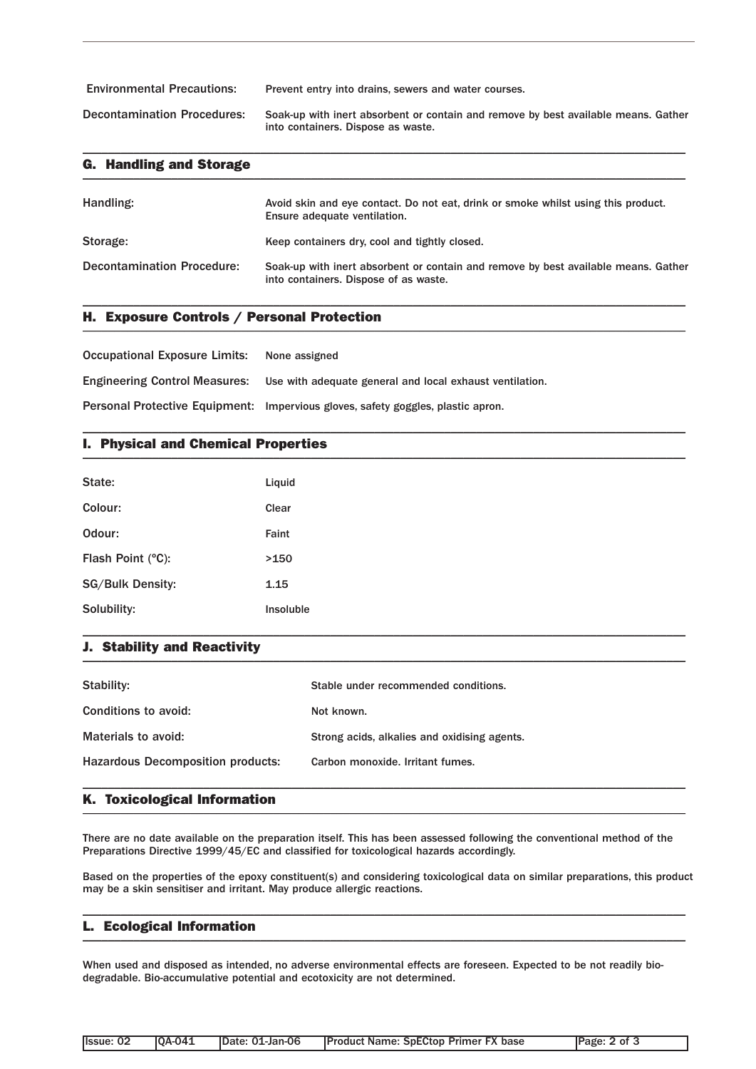| <b>Environmental Precautions:</b>  | Prevent entry into drains, sewers and water courses.                                                                     |
|------------------------------------|--------------------------------------------------------------------------------------------------------------------------|
| <b>Decontamination Procedures:</b> | Soak-up with inert absorbent or contain and remove by best available means. Gather<br>into containers. Dispose as waste. |

\_\_\_\_\_\_\_\_\_\_\_\_\_\_\_\_\_\_\_\_\_\_\_\_\_\_\_\_\_\_\_\_\_\_\_\_\_\_\_\_\_\_\_\_\_\_\_\_\_\_\_\_\_\_\_\_\_\_\_\_\_\_\_\_\_\_\_\_\_\_\_\_\_\_\_\_\_\_\_\_\_\_\_\_\_\_\_\_\_\_\_\_\_\_\_

| <b>G. Handling and Storage</b>    |                                                                                                                             |  |
|-----------------------------------|-----------------------------------------------------------------------------------------------------------------------------|--|
| Handling:                         | Avoid skin and eye contact. Do not eat, drink or smoke whilst using this product.<br>Ensure adequate ventilation.           |  |
| Storage:                          | Keep containers dry, cool and tightly closed.                                                                               |  |
| <b>Decontamination Procedure:</b> | Soak-up with inert absorbent or contain and remove by best available means. Gather<br>into containers. Dispose of as waste. |  |

\_\_\_\_\_\_\_\_\_\_\_\_\_\_\_\_\_\_\_\_\_\_\_\_\_\_\_\_\_\_\_\_\_\_\_\_\_\_\_\_\_\_\_\_\_\_\_\_\_\_\_\_\_\_\_\_\_\_\_\_\_\_\_\_\_\_\_\_\_\_\_\_\_\_\_\_\_\_\_\_\_\_\_\_\_\_\_\_\_\_\_\_\_\_\_

\_\_\_\_\_\_\_\_\_\_\_\_\_\_\_\_\_\_\_\_\_\_\_\_\_\_\_\_\_\_\_\_\_\_\_\_\_\_\_\_\_\_\_\_\_\_\_\_\_\_\_\_\_\_\_\_\_\_\_\_\_\_\_\_\_\_\_\_\_\_\_\_\_\_\_\_\_\_\_\_\_\_\_\_\_\_\_\_\_\_\_\_\_\_\_

## H. Exposure Controls / Personal Protection \_\_\_\_\_\_\_\_\_\_\_\_\_\_\_\_\_\_\_\_\_\_\_\_\_\_\_\_\_\_\_\_\_\_\_\_\_\_\_\_\_\_\_\_\_\_\_\_\_\_\_\_\_\_\_\_\_\_\_\_\_\_\_\_\_\_\_\_\_\_\_\_\_\_\_\_\_\_\_\_\_\_\_\_\_\_\_\_\_\_\_\_\_\_\_

| <b>Occupational Exposure Limits:</b> | None assigned                                                                    |
|--------------------------------------|----------------------------------------------------------------------------------|
| <b>Engineering Control Measures:</b> | Use with adequate general and local exhaust ventilation.                         |
|                                      | Personal Protective Equipment: Impervious gloves, safety goggles, plastic apron. |

## I. Physical and Chemical Properties \_\_\_\_\_\_\_\_\_\_\_\_\_\_\_\_\_\_\_\_\_\_\_\_\_\_\_\_\_\_\_\_\_\_\_\_\_\_\_\_\_\_\_\_\_\_\_\_\_\_\_\_\_\_\_\_\_\_\_\_\_\_\_\_\_\_\_\_\_\_\_\_\_\_\_\_\_\_\_\_\_\_\_\_\_\_\_\_\_\_\_\_\_\_\_

| State:                  | Liquid    |
|-------------------------|-----------|
| Colour:                 | Clear     |
| Odour:                  | Faint     |
| Flash Point (°C):       | >150      |
| <b>SG/Bulk Density:</b> | 1.15      |
| Solubility:             | Insoluble |

### J. Stability and Reactivity  $\blacksquare$

| Stability:                               | Stable under recommended conditions.         |
|------------------------------------------|----------------------------------------------|
| Conditions to avoid:                     | Not known.                                   |
| Materials to avoid:                      | Strong acids, alkalies and oxidising agents. |
| <b>Hazardous Decomposition products:</b> | Carbon monoxide. Irritant fumes.             |
|                                          |                                              |

\_\_\_\_\_\_\_\_\_\_\_\_\_\_\_\_\_\_\_\_\_\_\_\_\_\_\_\_\_\_\_\_\_\_\_\_\_\_\_\_\_\_\_\_\_\_\_\_\_\_\_\_\_\_\_\_\_\_\_\_\_\_\_\_\_\_\_\_\_\_\_\_\_\_\_\_\_\_\_\_\_\_\_\_\_\_\_\_\_\_\_\_\_\_\_

## K. Toxicological Information \_\_\_\_\_\_\_\_\_\_\_\_\_\_\_\_\_\_\_\_\_\_\_\_\_\_\_\_\_\_\_\_\_\_\_\_\_\_\_\_\_\_\_\_\_\_\_\_\_\_\_\_\_\_\_\_\_\_\_\_\_\_\_\_\_\_\_\_\_\_\_\_\_\_\_\_\_\_\_\_\_\_\_\_\_\_\_\_\_\_\_\_\_\_\_

There are no date available on the preparation itself. This has been assessed following the conventional method of the Preparations Directive 1999/45/EC and classified for toxicological hazards accordingly.

Based on the properties of the epoxy constituent(s) and considering toxicological data on similar preparations, this product may be a skin sensitiser and irritant. May produce allergic reactions.

\_\_\_\_\_\_\_\_\_\_\_\_\_\_\_\_\_\_\_\_\_\_\_\_\_\_\_\_\_\_\_\_\_\_\_\_\_\_\_\_\_\_\_\_\_\_\_\_\_\_\_\_\_\_\_\_\_\_\_\_\_\_\_\_\_\_\_\_\_\_\_\_\_\_\_\_\_\_\_\_\_\_\_\_\_\_\_\_\_\_\_\_\_\_\_

### L. Ecological Information \_\_\_\_\_\_\_\_\_\_\_\_\_\_\_\_\_\_\_\_\_\_\_\_\_\_\_\_\_\_\_\_\_\_\_\_\_\_\_\_\_\_\_\_\_\_\_\_\_\_\_\_\_\_\_\_\_\_\_\_\_\_\_\_\_\_\_\_\_\_\_\_\_\_\_\_\_\_\_\_\_\_\_\_\_\_\_\_\_\_\_\_\_\_\_

When used and disposed as intended, no adverse environmental effects are foreseen. Expected to be not readily biodegradable. Bio-accumulative potential and ecotoxicity are not determined.

| <b>Product Name: SpECtop Primer FX base</b><br>IDate: 01-Jan-06<br><b>IOA-041</b><br>llssue: 02<br>Page: 2 of 3 |  |
|-----------------------------------------------------------------------------------------------------------------|--|
|-----------------------------------------------------------------------------------------------------------------|--|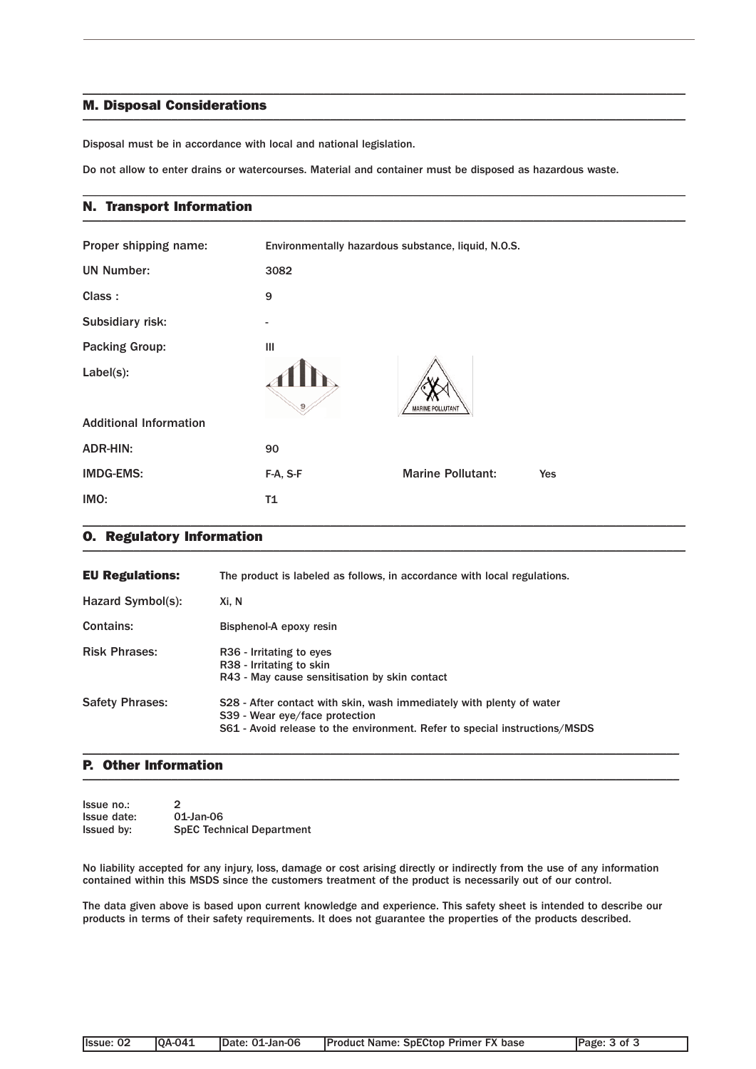### M. Disposal Considerations  $\blacksquare$

Disposal must be in accordance with local and national legislation.

Do not allow to enter drains or watercourses. Material and container must be disposed as hazardous waste.

\_\_\_\_\_\_\_\_\_\_\_\_\_\_\_\_\_\_\_\_\_\_\_\_\_\_\_\_\_\_\_\_\_\_\_\_\_\_\_\_\_\_\_\_\_\_\_\_\_\_\_\_\_\_\_\_\_\_\_\_\_\_\_\_\_\_\_\_\_\_\_\_\_\_\_\_\_\_\_\_\_\_\_\_\_\_\_\_\_\_\_\_\_\_\_

\_\_\_\_\_\_\_\_\_\_\_\_\_\_\_\_\_\_\_\_\_\_\_\_\_\_\_\_\_\_\_\_\_\_\_\_\_\_\_\_\_\_\_\_\_\_\_\_\_\_\_\_\_\_\_\_\_\_\_\_\_\_\_\_\_\_\_\_\_\_\_\_\_\_\_\_\_\_\_\_\_\_\_\_\_\_\_\_\_\_\_\_\_\_\_

### N. Transport Information \_\_\_\_\_\_\_\_\_\_\_\_\_\_\_\_\_\_\_\_\_\_\_\_\_\_\_\_\_\_\_\_\_\_\_\_\_\_\_\_\_\_\_\_\_\_\_\_\_\_\_\_\_\_\_\_\_\_\_\_\_\_\_\_\_\_\_\_\_\_\_\_\_\_\_\_\_\_\_\_\_\_\_\_\_\_\_\_\_\_\_\_\_\_\_

| Proper shipping name:         | Environmentally hazardous substance, liquid, N.O.S. |                          |     |
|-------------------------------|-----------------------------------------------------|--------------------------|-----|
| <b>UN Number:</b>             | 3082                                                |                          |     |
| Class:                        | 9                                                   |                          |     |
| Subsidiary risk:              | -                                                   |                          |     |
| <b>Packing Group:</b>         | Ш                                                   |                          |     |
| Label(s):                     | 9                                                   | <b>MARINE POLLUTANT</b>  |     |
| <b>Additional Information</b> |                                                     |                          |     |
| <b>ADR-HIN:</b>               | 90                                                  |                          |     |
| <b>IMDG-EMS:</b>              | F-A, S-F                                            | <b>Marine Pollutant:</b> | Yes |
| IMO:                          | T1                                                  |                          |     |

### O. Regulatory Information \_\_\_\_\_\_\_\_\_\_\_\_\_\_\_\_\_\_\_\_\_\_\_\_\_\_\_\_\_\_\_\_\_\_\_\_\_\_\_\_\_\_\_\_\_\_\_\_\_\_\_\_\_\_\_\_\_\_\_\_\_\_\_\_\_\_\_\_\_\_\_\_\_\_\_\_\_\_\_\_\_\_\_\_\_\_\_\_\_\_\_\_\_\_\_

| <b>EU Regulations:</b> | The product is labeled as follows, in accordance with local regulations.                                                                                                             |
|------------------------|--------------------------------------------------------------------------------------------------------------------------------------------------------------------------------------|
| Hazard Symbol(s):      | Xi. N                                                                                                                                                                                |
| Contains:              | Bisphenol-A epoxy resin                                                                                                                                                              |
| <b>Risk Phrases:</b>   | R <sub>36</sub> - Irritating to eyes<br>R38 - Irritating to skin<br>R43 - May cause sensitisation by skin contact                                                                    |
| <b>Safety Phrases:</b> | S28 - After contact with skin, wash immediately with plenty of water<br>S39 - Wear eye/face protection<br>S61 - Avoid release to the environment. Refer to special instructions/MSDS |

### P. Other Information  $\blacksquare$

| Issue no.:        | $\mathcal{P}$                    |
|-------------------|----------------------------------|
| Issue date:       | 01-Jan-06                        |
| <b>Issued by:</b> | <b>SpEC Technical Department</b> |

No liability accepted for any injury, loss, damage or cost arising directly or indirectly from the use of any information contained within this MSDS since the customers treatment of the product is necessarily out of our control.

\_\_\_\_\_\_\_\_\_\_\_\_\_\_\_\_\_\_\_\_\_\_\_\_\_\_\_\_\_\_\_\_\_\_\_\_\_\_\_\_\_\_\_\_\_\_\_\_\_\_\_\_\_\_\_\_\_\_\_\_\_\_\_\_\_\_\_\_\_\_\_\_\_\_\_\_\_\_\_\_\_\_\_\_\_\_\_\_\_\_\_\_\_\_

The data given above is based upon current knowledge and experience. This safety sheet is intended to describe our products in terms of their safety requirements. It does not guarantee the properties of the products described.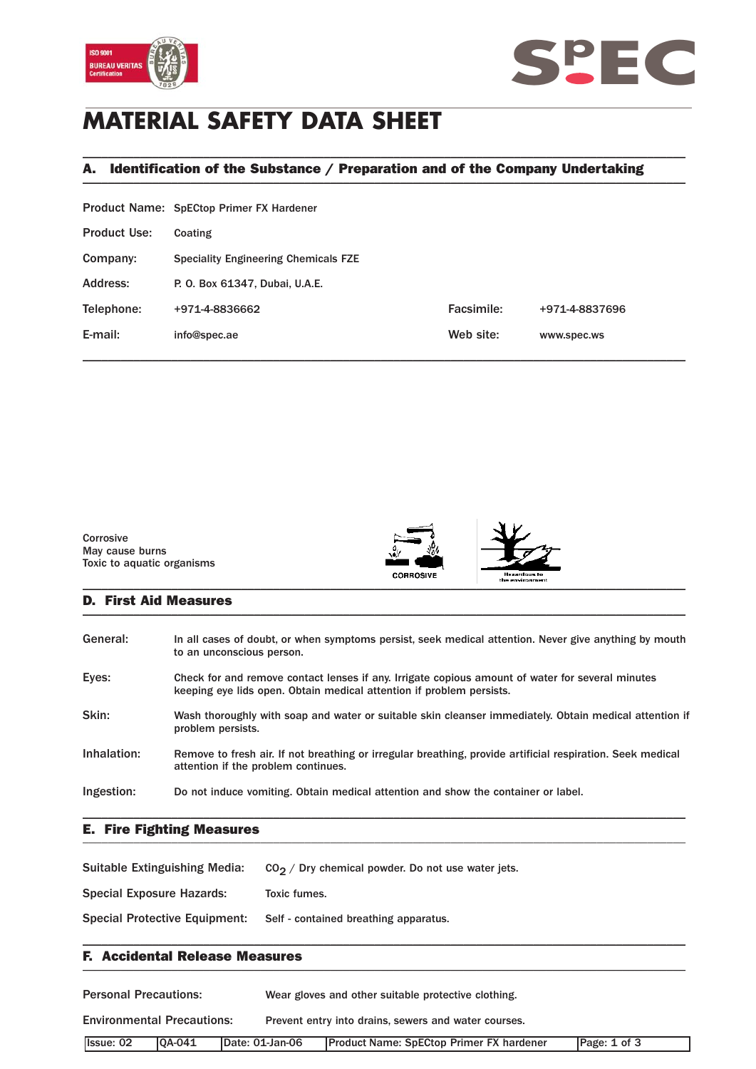



# **MATERIAL SAFETY DATA SHEET**

## A. Identification of the Substance / Preparation and of the Company Undertaking \_\_\_\_\_\_\_\_\_\_\_\_\_\_\_\_\_\_\_\_\_\_\_\_\_\_\_\_\_\_\_\_\_\_\_\_\_\_\_\_\_\_\_\_\_\_\_\_\_\_\_\_\_\_\_\_\_\_\_\_\_\_\_\_\_\_\_\_\_\_\_\_\_\_\_\_\_\_\_\_\_\_\_\_\_\_\_\_\_\_\_\_\_\_\_

\_\_\_\_\_\_\_\_\_\_\_\_\_\_\_\_\_\_\_\_\_\_\_\_\_\_\_\_\_\_\_\_\_\_\_\_\_\_\_\_\_\_\_\_\_\_\_\_\_\_\_\_\_\_\_\_\_\_\_\_\_\_\_\_\_\_\_\_\_\_\_\_\_\_\_\_\_\_\_\_\_\_\_\_\_\_\_\_\_\_\_\_\_\_\_

|                     | <b>Product Name: SpECtop Primer FX Hardener</b> |            |                |
|---------------------|-------------------------------------------------|------------|----------------|
| <b>Product Use:</b> | Coating                                         |            |                |
| Company:            | <b>Speciality Engineering Chemicals FZE</b>     |            |                |
| Address:            | P. O. Box 61347, Dubai, U.A.E.                  |            |                |
| Telephone:          | +971-4-8836662                                  | Facsimile: | +971-4-8837696 |
| E-mail:             | info@spec.ae                                    | Web site:  | www.spec.ws    |
|                     |                                                 |            |                |



### D. First Aid Measures \_\_\_\_\_\_\_\_\_\_\_\_\_\_\_\_\_\_\_\_\_\_\_\_\_\_\_\_\_\_\_\_\_\_\_\_\_\_\_\_\_\_\_\_\_\_\_\_\_\_\_\_\_\_\_\_\_\_\_\_\_\_\_\_\_\_\_\_\_\_\_\_\_\_\_\_\_\_\_\_\_\_\_\_\_\_\_\_\_\_\_\_\_\_\_

| General:    | In all cases of doubt, or when symptoms persist, seek medical attention. Never give anything by mouth<br>to an unconscious person.                                       |
|-------------|--------------------------------------------------------------------------------------------------------------------------------------------------------------------------|
| Eyes:       | Check for and remove contact lenses if any. Irrigate copious amount of water for several minutes<br>keeping eye lids open. Obtain medical attention if problem persists. |
| Skin:       | Wash thoroughly with soap and water or suitable skin cleanser immediately. Obtain medical attention if<br>problem persists.                                              |
| Inhalation: | Remove to fresh air. If not breathing or irregular breathing, provide artificial respiration. Seek medical<br>attention if the problem continues.                        |
| Ingestion:  | Do not induce vomiting. Obtain medical attention and show the container or label.                                                                                        |
|             |                                                                                                                                                                          |

### E. Fire Fighting Measures \_\_\_\_\_\_\_\_\_\_\_\_\_\_\_\_\_\_\_\_\_\_\_\_\_\_\_\_\_\_\_\_\_\_\_\_\_\_\_\_\_\_\_\_\_\_\_\_\_\_\_\_\_\_\_\_\_\_\_\_\_\_\_\_\_\_\_\_\_\_\_\_\_\_\_\_\_\_\_\_\_\_\_\_\_\_\_\_\_\_\_\_\_\_\_

Suitable Extinguishing Media:  $CO_2 /$  Dry chemical powder. Do not use water jets.

Special Exposure Hazards: Toxic fumes.

Special Protective Equipment: Self - contained breathing apparatus.

### F. Accidental Release Measures \_\_\_\_\_\_\_\_\_\_\_\_\_\_\_\_\_\_\_\_\_\_\_\_\_\_\_\_\_\_\_\_\_\_\_\_\_\_\_\_\_\_\_\_\_\_\_\_\_\_\_\_\_\_\_\_\_\_\_\_\_\_\_\_\_\_\_\_\_\_\_\_\_\_\_\_\_\_\_\_\_\_\_\_\_\_\_\_\_\_\_\_\_\_\_

| <b>Personal Precautions:</b>      |         |                 | Wear gloves and other suitable protective clothing.  |              |  |  |
|-----------------------------------|---------|-----------------|------------------------------------------------------|--------------|--|--|
| <b>Environmental Precautions:</b> |         |                 | Prevent entry into drains, sewers and water courses. |              |  |  |
| <b>Issue: 02</b>                  | IOA-041 | Date: 01-Jan-06 | <b>Product Name: SpECtop Primer FX hardener</b>      | Page: 1 of 3 |  |  |

\_\_\_\_\_\_\_\_\_\_\_\_\_\_\_\_\_\_\_\_\_\_\_\_\_\_\_\_\_\_\_\_\_\_\_\_\_\_\_\_\_\_\_\_\_\_\_\_\_\_\_\_\_\_\_\_\_\_\_\_\_\_\_\_\_\_\_\_\_\_\_\_\_\_\_\_\_\_\_\_\_\_\_\_\_\_\_\_\_\_\_\_\_\_\_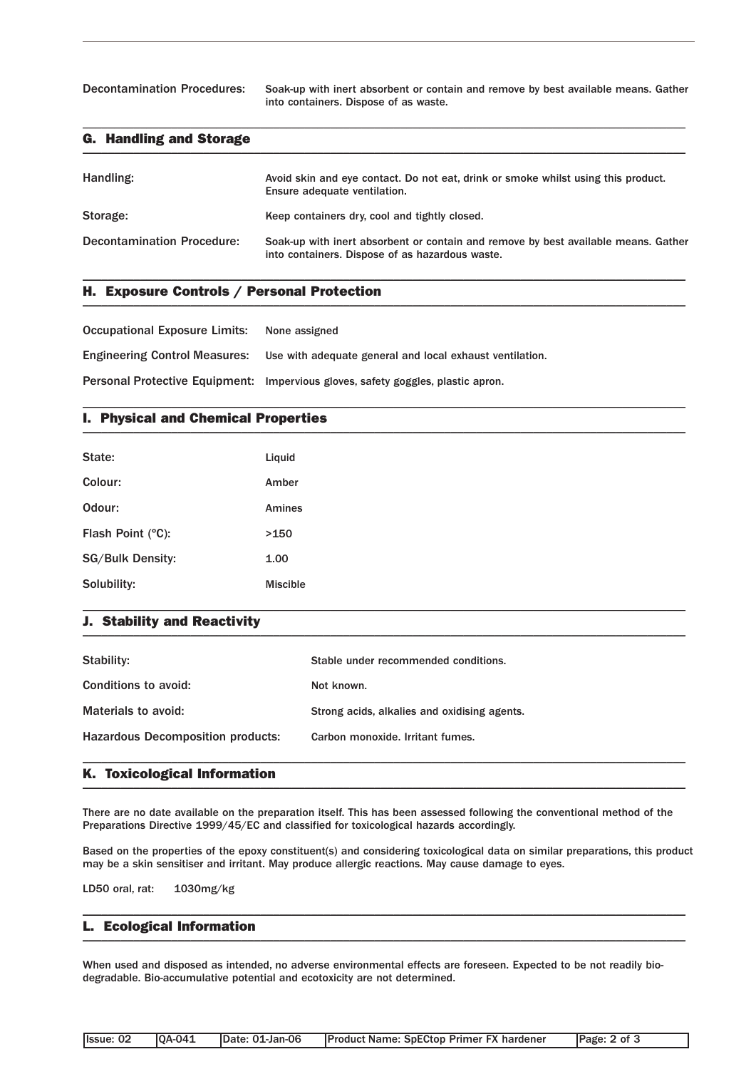Decontamination Procedures: Soak-up with inert absorbent or contain and remove by best available means. Gather into containers. Dispose of as waste.

### G. Handling and Storage  $\blacksquare$

| Handling:                         | Avoid skin and eye contact. Do not eat, drink or smoke whilst using this product.<br>Ensure adequate ventilation.                     |
|-----------------------------------|---------------------------------------------------------------------------------------------------------------------------------------|
| Storage:                          | Keep containers dry, cool and tightly closed.                                                                                         |
| <b>Decontamination Procedure:</b> | Soak-up with inert absorbent or contain and remove by best available means. Gather<br>into containers. Dispose of as hazardous waste. |

\_\_\_\_\_\_\_\_\_\_\_\_\_\_\_\_\_\_\_\_\_\_\_\_\_\_\_\_\_\_\_\_\_\_\_\_\_\_\_\_\_\_\_\_\_\_\_\_\_\_\_\_\_\_\_\_\_\_\_\_\_\_\_\_\_\_\_\_\_\_\_\_\_\_\_\_\_\_\_\_\_\_\_\_\_\_\_\_\_\_\_\_\_\_\_

\_\_\_\_\_\_\_\_\_\_\_\_\_\_\_\_\_\_\_\_\_\_\_\_\_\_\_\_\_\_\_\_\_\_\_\_\_\_\_\_\_\_\_\_\_\_\_\_\_\_\_\_\_\_\_\_\_\_\_\_\_\_\_\_\_\_\_\_\_\_\_\_\_\_\_\_\_\_\_\_\_\_\_\_\_\_\_\_\_\_\_\_\_\_\_

\_\_\_\_\_\_\_\_\_\_\_\_\_\_\_\_\_\_\_\_\_\_\_\_\_\_\_\_\_\_\_\_\_\_\_\_\_\_\_\_\_\_\_\_\_\_\_\_\_\_\_\_\_\_\_\_\_\_\_\_\_\_\_\_\_\_\_\_\_\_\_\_\_\_\_\_\_\_\_\_\_\_\_\_\_\_\_\_\_\_\_\_\_\_\_

## H. Exposure Controls / Personal Protection \_\_\_\_\_\_\_\_\_\_\_\_\_\_\_\_\_\_\_\_\_\_\_\_\_\_\_\_\_\_\_\_\_\_\_\_\_\_\_\_\_\_\_\_\_\_\_\_\_\_\_\_\_\_\_\_\_\_\_\_\_\_\_\_\_\_\_\_\_\_\_\_\_\_\_\_\_\_\_\_\_\_\_\_\_\_\_\_\_\_\_\_\_\_\_

Occupational Exposure Limits: None assigned

Engineering Control Measures: Use with adequate general and local exhaust ventilation.

Personal Protective Equipment: Impervious gloves, safety goggles, plastic apron.

## I. Physical and Chemical Properties \_\_\_\_\_\_\_\_\_\_\_\_\_\_\_\_\_\_\_\_\_\_\_\_\_\_\_\_\_\_\_\_\_\_\_\_\_\_\_\_\_\_\_\_\_\_\_\_\_\_\_\_\_\_\_\_\_\_\_\_\_\_\_\_\_\_\_\_\_\_\_\_\_\_\_\_\_\_\_\_\_\_\_\_\_\_\_\_\_\_\_\_\_\_\_

| State:                  | Liquid          |
|-------------------------|-----------------|
| Colour:                 | Amber           |
| Odour:                  | Amines          |
| Flash Point (°C):       | >150            |
| <b>SG/Bulk Density:</b> | 1.00            |
| Solubility:             | <b>Miscible</b> |

### J. Stability and Reactivity  $\blacksquare$

| Stability:                               | Stable under recommended conditions.         |
|------------------------------------------|----------------------------------------------|
| Conditions to avoid:                     | Not known.                                   |
| Materials to avoid:                      | Strong acids, alkalies and oxidising agents. |
| <b>Hazardous Decomposition products:</b> | Carbon monoxide. Irritant fumes.             |
|                                          |                                              |

\_\_\_\_\_\_\_\_\_\_\_\_\_\_\_\_\_\_\_\_\_\_\_\_\_\_\_\_\_\_\_\_\_\_\_\_\_\_\_\_\_\_\_\_\_\_\_\_\_\_\_\_\_\_\_\_\_\_\_\_\_\_\_\_\_\_\_\_\_\_\_\_\_\_\_\_\_\_\_\_\_\_\_\_\_\_\_\_\_\_\_\_\_\_\_

### K. Toxicological Information \_\_\_\_\_\_\_\_\_\_\_\_\_\_\_\_\_\_\_\_\_\_\_\_\_\_\_\_\_\_\_\_\_\_\_\_\_\_\_\_\_\_\_\_\_\_\_\_\_\_\_\_\_\_\_\_\_\_\_\_\_\_\_\_\_\_\_\_\_\_\_\_\_\_\_\_\_\_\_\_\_\_\_\_\_\_\_\_\_\_\_\_\_\_\_

There are no date available on the preparation itself. This has been assessed following the conventional method of the Preparations Directive 1999/45/EC and classified for toxicological hazards accordingly.

Based on the properties of the epoxy constituent(s) and considering toxicological data on similar preparations, this product may be a skin sensitiser and irritant. May produce allergic reactions. May cause damage to eyes.

\_\_\_\_\_\_\_\_\_\_\_\_\_\_\_\_\_\_\_\_\_\_\_\_\_\_\_\_\_\_\_\_\_\_\_\_\_\_\_\_\_\_\_\_\_\_\_\_\_\_\_\_\_\_\_\_\_\_\_\_\_\_\_\_\_\_\_\_\_\_\_\_\_\_\_\_\_\_\_\_\_\_\_\_\_\_\_\_\_\_\_\_\_\_\_

LD50 oral, rat: 1030mg/kg

### L. Ecological Information \_\_\_\_\_\_\_\_\_\_\_\_\_\_\_\_\_\_\_\_\_\_\_\_\_\_\_\_\_\_\_\_\_\_\_\_\_\_\_\_\_\_\_\_\_\_\_\_\_\_\_\_\_\_\_\_\_\_\_\_\_\_\_\_\_\_\_\_\_\_\_\_\_\_\_\_\_\_\_\_\_\_\_\_\_\_\_\_\_\_\_\_\_\_\_

When used and disposed as intended, no adverse environmental effects are foreseen. Expected to be not readily biodegradable. Bio-accumulative potential and ecotoxicity are not determined.

| llssue: 02 | <b>IOA-041</b> | IDate: 01-Jan-06 | <b>Product Name: SpECtop Primer FX hardener</b> | Page: 2 of 3 |
|------------|----------------|------------------|-------------------------------------------------|--------------|
|            |                |                  |                                                 |              |